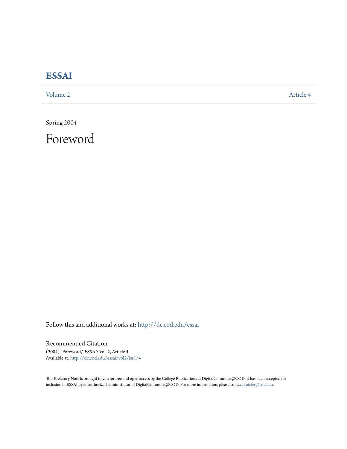## **[ESSAI](http://dc.cod.edu/essai?utm_source=dc.cod.edu%2Fessai%2Fvol2%2Fiss1%2F4&utm_medium=PDF&utm_campaign=PDFCoverPages)**

[Volume 2](http://dc.cod.edu/essai/vol2?utm_source=dc.cod.edu%2Fessai%2Fvol2%2Fiss1%2F4&utm_medium=PDF&utm_campaign=PDFCoverPages) [Article 4](http://dc.cod.edu/essai/vol2/iss1/4?utm_source=dc.cod.edu%2Fessai%2Fvol2%2Fiss1%2F4&utm_medium=PDF&utm_campaign=PDFCoverPages)

Spring 2004

Foreword

Follow this and additional works at: [http://dc.cod.edu/essai](http://dc.cod.edu/essai?utm_source=dc.cod.edu%2Fessai%2Fvol2%2Fiss1%2F4&utm_medium=PDF&utm_campaign=PDFCoverPages)

Recommended Citation

(2004) "Foreword," *ESSAI*: Vol. 2, Article 4. Available at: [http://dc.cod.edu/essai/vol2/iss1/4](http://dc.cod.edu/essai/vol2/iss1/4?utm_source=dc.cod.edu%2Fessai%2Fvol2%2Fiss1%2F4&utm_medium=PDF&utm_campaign=PDFCoverPages)

This Prefatory Note is brought to you for free and open access by the College Publications at DigitalCommons@COD. It has been accepted for inclusion in ESSAI by an authorized administrator of DigitalCommons@COD. For more information, please contact [koteles@cod.edu.](mailto:koteles@cod.edu)